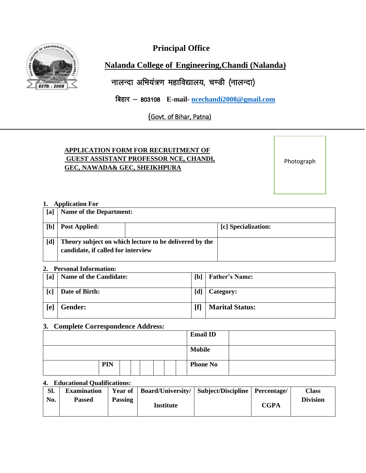**Principal Office** 



# **Nalanda College of Engineering,Chandi (Nalanda)**

नालन्दा अभियंत्रण महाविद्यालय, चण्डी (नालन्दा)

**बिहार - 803108 E-mail- [ncechandi2008@gmail.com](mailto:ncechandi2008@gmail.com)** 

(Govt. of Bihar, Patna)

## **APPLICATION FORM FOR RECRUITMENT OF GUEST ASSISTANT PROFESSOR NCE, CHANDI, GEC, NAWADA& GEC, SHEIKHPURA**

Photograph

#### **1. Application For**

| [a] | <b>Name of the Department:</b>     |                                                        |                     |  |
|-----|------------------------------------|--------------------------------------------------------|---------------------|--|
| [b] | <b>Post Applied:</b>               |                                                        | [c] Specialization: |  |
| [d] | candidate, if called for interview | Theory subject on which lecture to be delivered by the |                     |  |

#### **2. Personal Information:**

| --                | 1 Crooman mirormaaon.         |     |                        |  |  |  |  |
|-------------------|-------------------------------|-----|------------------------|--|--|--|--|
| [a]               | <b>Name of the Candidate:</b> | [b] | <b>Father's Name:</b>  |  |  |  |  |
| $\lceil c \rceil$ | Date of Birth:                | [d] | Category:              |  |  |  |  |
| [ <b>e</b> ]      | Gender:                       |     | <b>Marital Status:</b> |  |  |  |  |

#### **3. Complete Correspondence Address:**

|     |  |  |  | <b>Email ID</b> |
|-----|--|--|--|-----------------|
|     |  |  |  | <b>Mobile</b>   |
| PIN |  |  |  | <b>Phone No</b> |

#### **4. Educational Qualifications:**

| Sl. | <b>Examination</b> | <b>Year of</b> |           | Board/University/   Subject/Discipline   Percentage/ |             | Class           |
|-----|--------------------|----------------|-----------|------------------------------------------------------|-------------|-----------------|
| No. | <b>Passed</b>      | <b>Passing</b> | Institute |                                                      | <b>CGPA</b> | <b>Division</b> |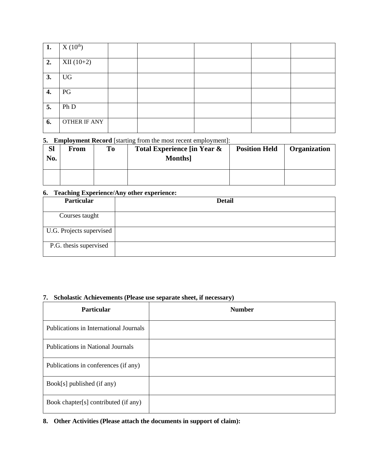| 1. | $X(10^{th})$ |  |  |  |
|----|--------------|--|--|--|
| 2. | $XII(10+2)$  |  |  |  |
|    |              |  |  |  |
| 3. | UG           |  |  |  |
|    |              |  |  |  |
| 4. | PG           |  |  |  |
|    |              |  |  |  |
| 5. | Ph D         |  |  |  |
|    |              |  |  |  |
| 6. | OTHER IF ANY |  |  |  |
|    |              |  |  |  |

**5. Employment Record** [starting from the most recent employment]:

| <b>Sl</b><br>No. | From | To | Total Experience [in Year &<br><b>Months</b> | <b>Position Held</b> | Organization |
|------------------|------|----|----------------------------------------------|----------------------|--------------|
|                  |      |    |                                              |                      |              |

#### **6. Teaching Experience/Any other experience:**

| <b>Particular</b>        | <b>Detail</b> |
|--------------------------|---------------|
| Courses taught           |               |
| U.G. Projects supervised |               |
| P.G. thesis supervised   |               |

### **7. Scholastic Achievements (Please use separate sheet, if necessary)**

| <b>Particular</b>                        | <b>Number</b> |
|------------------------------------------|---------------|
| Publications in International Journals   |               |
| <b>Publications in National Journals</b> |               |
| Publications in conferences (if any)     |               |
| Book[s] published (if any)               |               |
| Book chapter[s] contributed (if any)     |               |

**8. Other Activities (Please attach the documents in support of claim):**